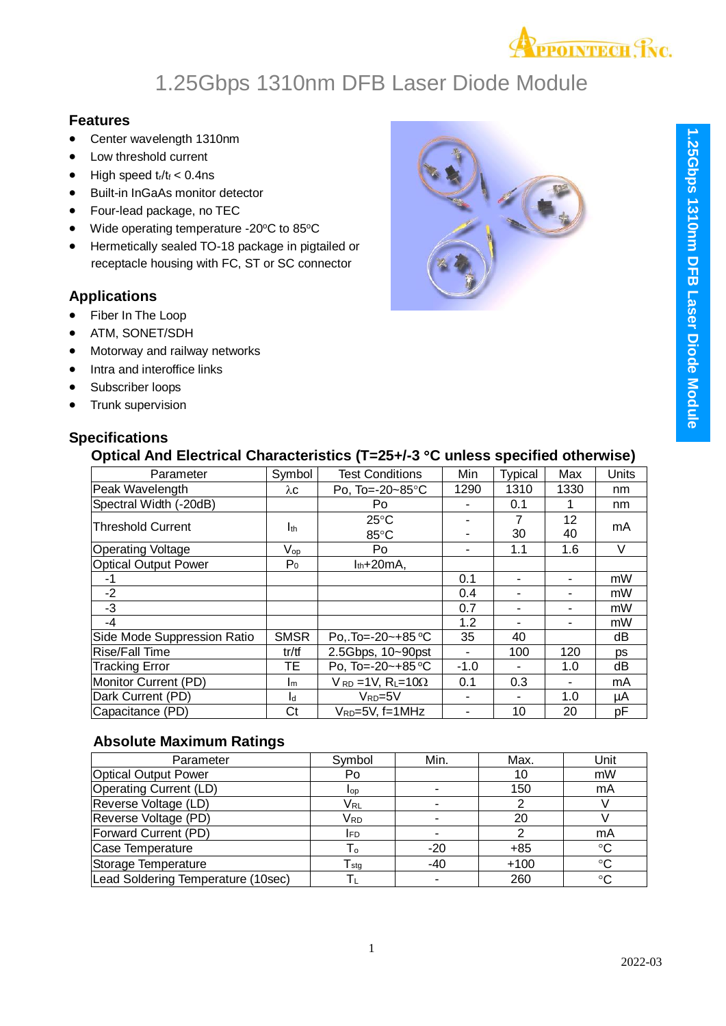

### **Features**

- Center wavelength 1310nm
- Low threshold current
- $\bullet$  High speed  $t_r/t_f < 0.4$ ns
- Built-in InGaAs monitor detector
- Four-lead package, no TEC
- Wide operating temperature -20°C to 85°C
- Hermetically sealed TO-18 package in pigtailed or receptacle housing with FC, ST or SC connector

#### **Applications**

- Fiber In The Loop
- ATM, SONET/SDH
- Motorway and railway networks
- Intra and interoffice links
- Subscriber loops
- Trunk supervision

### **Specifi**

| ecifications |                                                                                 |
|--------------|---------------------------------------------------------------------------------|
|              | Optical And Electrical Characteristics (T=25+/-3 °C unless specified otherwise) |

| Parameter                   | Symbol                     | <b>Test Conditions</b>                     | Min    | <b>Typical</b> | Max  | Units  |
|-----------------------------|----------------------------|--------------------------------------------|--------|----------------|------|--------|
| Peak Wavelength             | λc                         | Po, To=-20~85°C                            | 1290   | 1310           | 1330 | nm     |
| Spectral Width (-20dB)      |                            | Po                                         | ۰      | 0.1            |      | nm     |
|                             |                            | $25^{\circ}$ C                             |        | 7              | 12   |        |
| <b>Threshold Current</b>    | I <sub>th</sub>            | 85°C                                       |        | 30             | 40   | mA     |
| <b>Operating Voltage</b>    | $\mathsf{V}_{\mathsf{op}}$ | Po                                         |        | 1.1            | 1.6  | $\vee$ |
| <b>Optical Output Power</b> | $P_0$                      | $I_{th}$ +20mA,                            |        |                |      |        |
| -1                          |                            |                                            | 0.1    |                |      | mW     |
| $-2$                        |                            |                                            | 0.4    | ۰              |      | mW     |
| $-3$                        |                            |                                            | 0.7    | $\blacksquare$ | -    | mW     |
| $-4$                        |                            |                                            | 1.2    | ۰              | ۰    | mW     |
| Side Mode Suppression Ratio | <b>SMSR</b>                | PoTo=-20~+85 °C                            | 35     | 40             |      | dB     |
| <b>Rise/Fall Time</b>       | tr/tf                      | 2.5Gbps, 10~90pst                          |        | 100            | 120  | ps     |
| <b>Tracking Error</b>       | TE.                        | Po, To=-20~+85 °C                          | $-1.0$ |                | 1.0  | dB     |
| Monitor Current (PD)        | Im                         | $V_{RD}$ = 1V, R <sub>L</sub> =10 $\Omega$ | 0.1    | 0.3            |      | mA     |
| Dark Current (PD)           | l <sub>d</sub>             | $V_{RD} = 5V$                              |        |                | 1.0  | μA     |
| Capacitance (PD)            | Ct                         | $V_{RD} = 5V$ , f=1MHz                     |        | 10             | 20   | рF     |

#### **Absolute Maximum Ratings**

| Parameter                          | Symbol                    | Min.  | Max.   | Unit |
|------------------------------------|---------------------------|-------|--------|------|
| <b>Optical Output Power</b>        | Po                        |       | 10     | mW   |
| <b>Operating Current (LD)</b>      | lop                       |       | 150    | mA   |
| Reverse Voltage (LD)               | Vrl                       |       |        |      |
| Reverse Voltage (PD)               | Vrd                       |       | 20     |      |
| Forward Current (PD)               | IFD.                      |       |        | mA   |
| Case Temperature                   | Г٥                        | $-20$ | $+85$  | °C   |
| Storage Temperature                | $\mathsf{T}_{\text{stg}}$ | $-40$ | $+100$ | °C   |
| Lead Soldering Temperature (10sec) |                           |       | 260    | °C   |

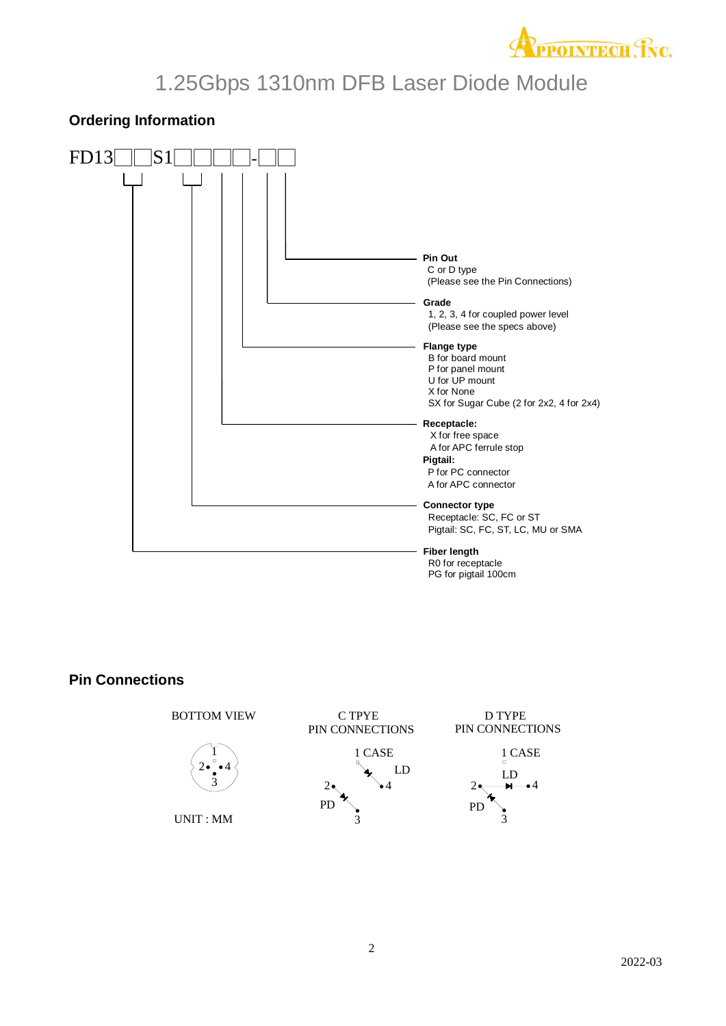

### **Ordering Information**



#### **Pin Connections**

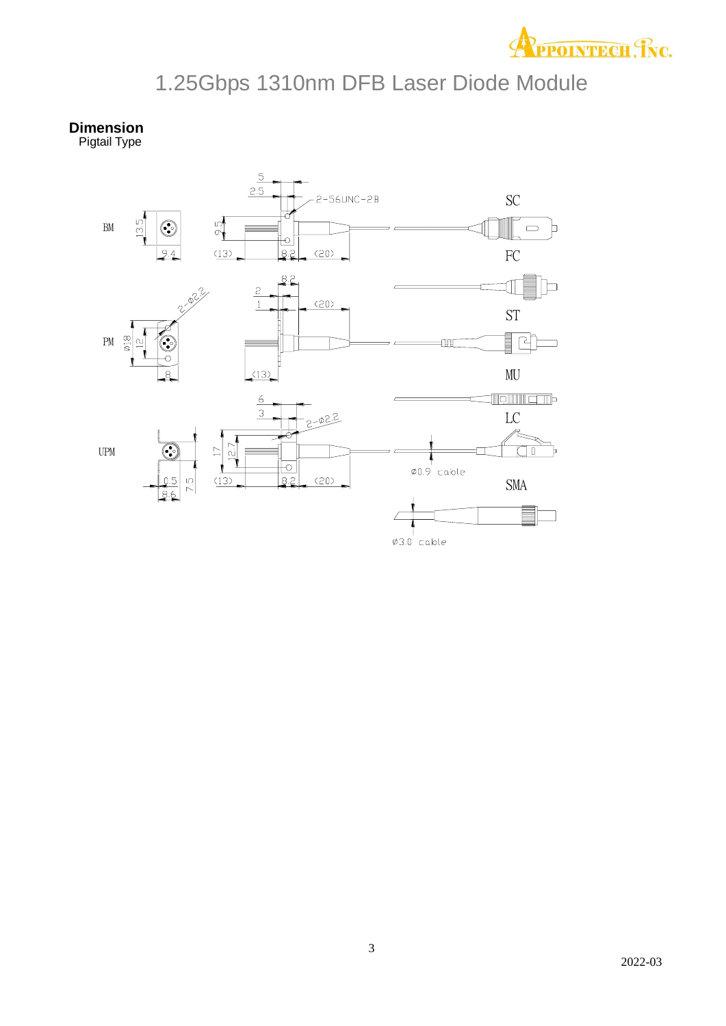

**Dimension** Pigtail Type

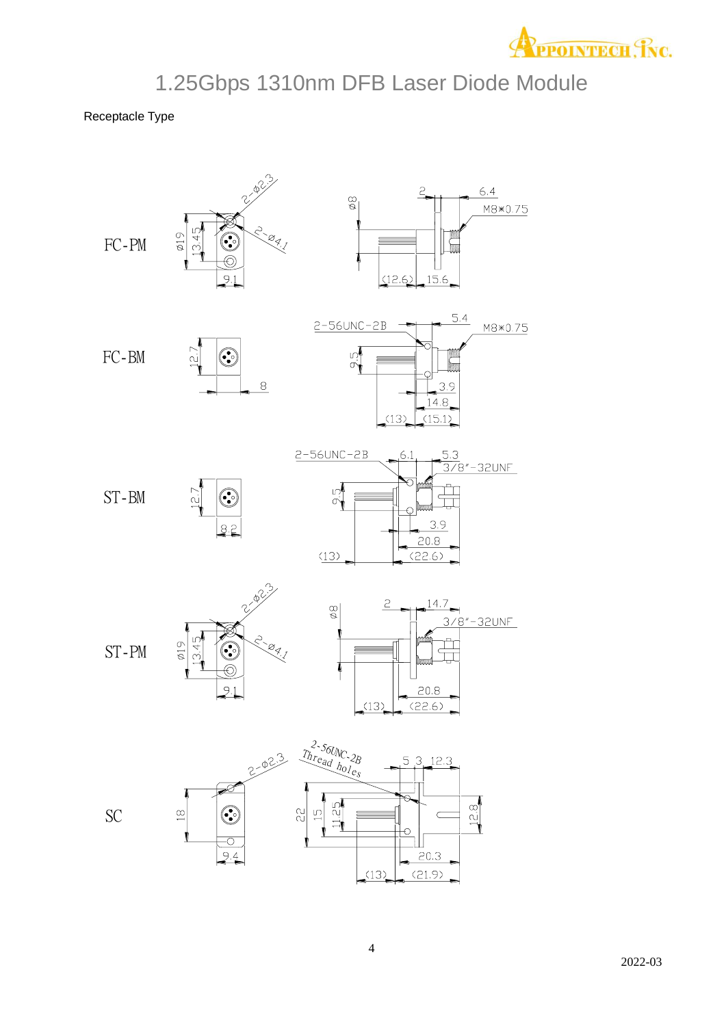

Receptacle Type

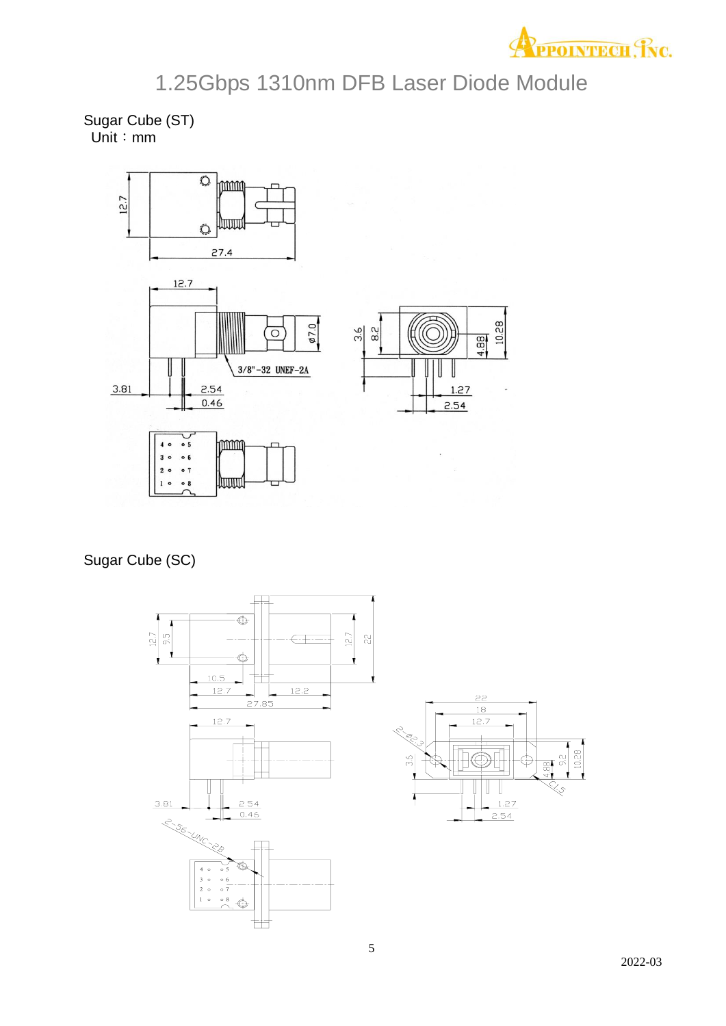

Sugar Cube (ST) Unit:mm



Sugar Cube (SC)



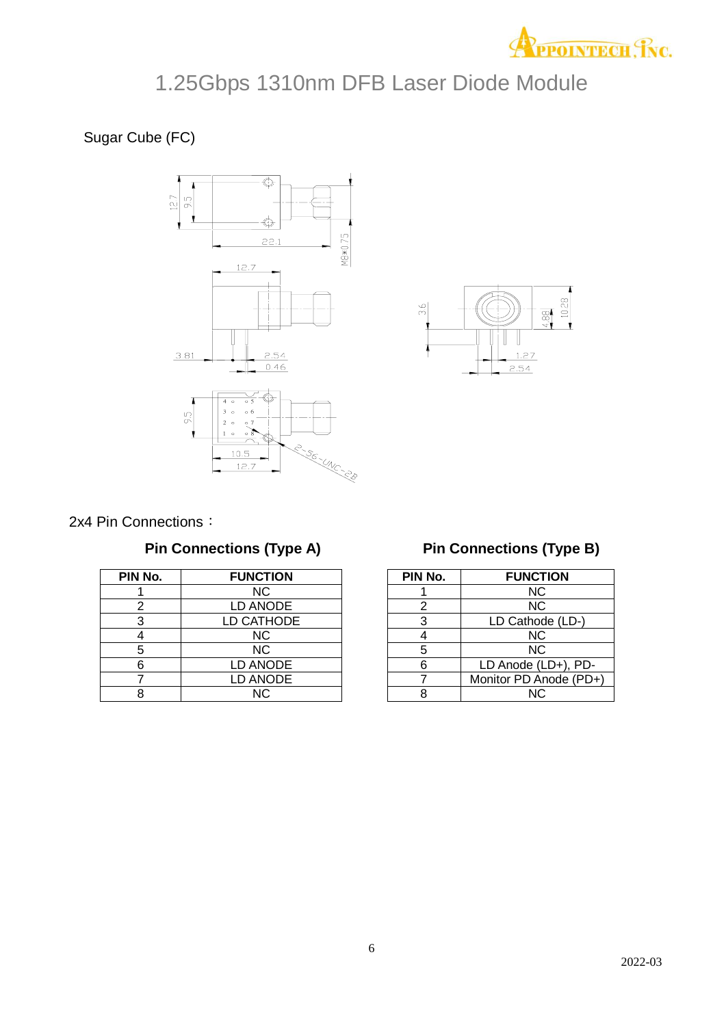

Sugar Cube (FC)





|  |  | 2x4 Pin Connections: |  |
|--|--|----------------------|--|
|--|--|----------------------|--|

### **Pin Connections (Type A)**

| PIN No. | <b>FUNCTION</b> |
|---------|-----------------|
|         | NС              |
| 2       | LD ANODE        |
| 3       | LD CATHODE      |
|         | NC              |
| 5       | <b>NC</b>       |
| 6       | <b>LD ANODE</b> |
|         | <b>LD ANODE</b> |
|         | NC.             |

### **Pin Connections (Type B)**

| PIN No. | <b>FUNCTION</b>        |
|---------|------------------------|
|         | <b>NC</b>              |
| 2       | <b>NC</b>              |
| 3       | LD Cathode (LD-)       |
|         | <b>NC</b>              |
| 5       | <b>NC</b>              |
| 6       | LD Anode (LD+), PD-    |
|         | Monitor PD Anode (PD+) |
|         | NC.                    |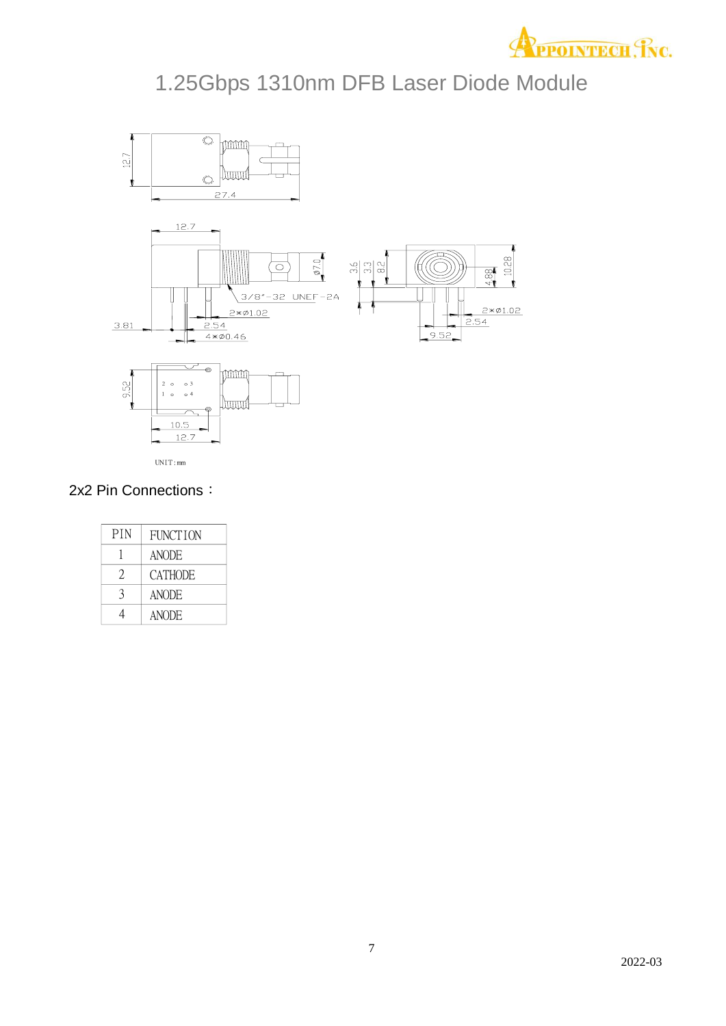



2x2 Pin Connections:

| <b>PIN</b> | <b>FUNCTION</b> |
|------------|-----------------|
|            | <b>ANODE</b>    |
| 2          | <b>CATHODE</b>  |
| 3          | <b>ANODE</b>    |
|            | <b>ANODE</b>    |